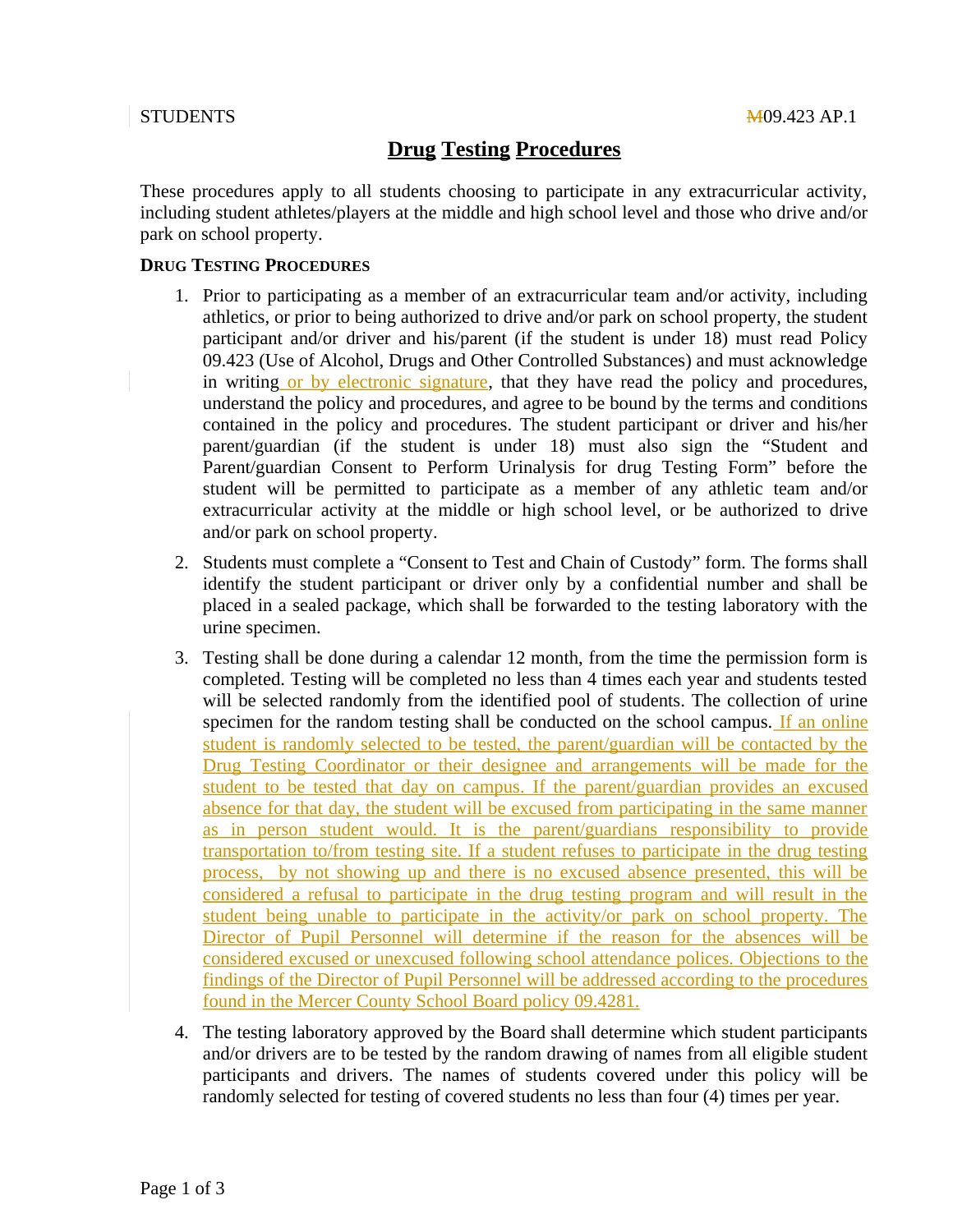### STUDENTS

# **Drug Testing Procedures**

These procedures apply to all students choosing to participate in any extracurricular activity, including student athletes/players at the middle and high school level and those who drive and/or park on school property.

#### **DRUG TESTING PROCEDURES**

- 1. Prior to participating as a member of an extracurricular team and/or activity, including athletics, or prior to being authorized to drive and/or park on school property, the student participant and/or driver and his/parent (if the student is under 18) must read Policy 09.423 (Use of Alcohol, Drugs and Other Controlled Substances) and must acknowledge in writing or by electronic signature, that they have read the policy and procedures, understand the policy and procedures, and agree to be bound by the terms and conditions contained in the policy and procedures. The student participant or driver and his/her parent/guardian (if the student is under 18) must also sign the "Student and Parent/guardian Consent to Perform Urinalysis for drug Testing Form" before the student will be permitted to participate as a member of any athletic team and/or extracurricular activity at the middle or high school level, or be authorized to drive and/or park on school property.
- 2. Students must complete a "Consent to Test and Chain of Custody" form. The forms shall identify the student participant or driver only by a confidential number and shall be placed in a sealed package, which shall be forwarded to the testing laboratory with the urine specimen.
- 3. Testing shall be done during a calendar 12 month, from the time the permission form is completed. Testing will be completed no less than 4 times each year and students tested will be selected randomly from the identified pool of students. The collection of urine specimen for the random testing shall be conducted on the school campus. If an online student is randomly selected to be tested, the parent/guardian will be contacted by the Drug Testing Coordinator or their designee and arrangements will be made for the student to be tested that day on campus. If the parent/guardian provides an excused absence for that day, the student will be excused from participating in the same manner as in person student would. It is the parent/guardians responsibility to provide transportation to/from testing site. If a student refuses to participate in the drug testing process, by not showing up and there is no excused absence presented, this will be considered a refusal to participate in the drug testing program and will result in the student being unable to participate in the activity/or park on school property. The Director of Pupil Personnel will determine if the reason for the absences will be considered excused or unexcused following school attendance polices. Objections to the findings of the Director of Pupil Personnel will be addressed according to the procedures found in the Mercer County School Board policy 09.4281.
- 4. The testing laboratory approved by the Board shall determine which student participants and/or drivers are to be tested by the random drawing of names from all eligible student participants and drivers. The names of students covered under this policy will be randomly selected for testing of covered students no less than four (4) times per year.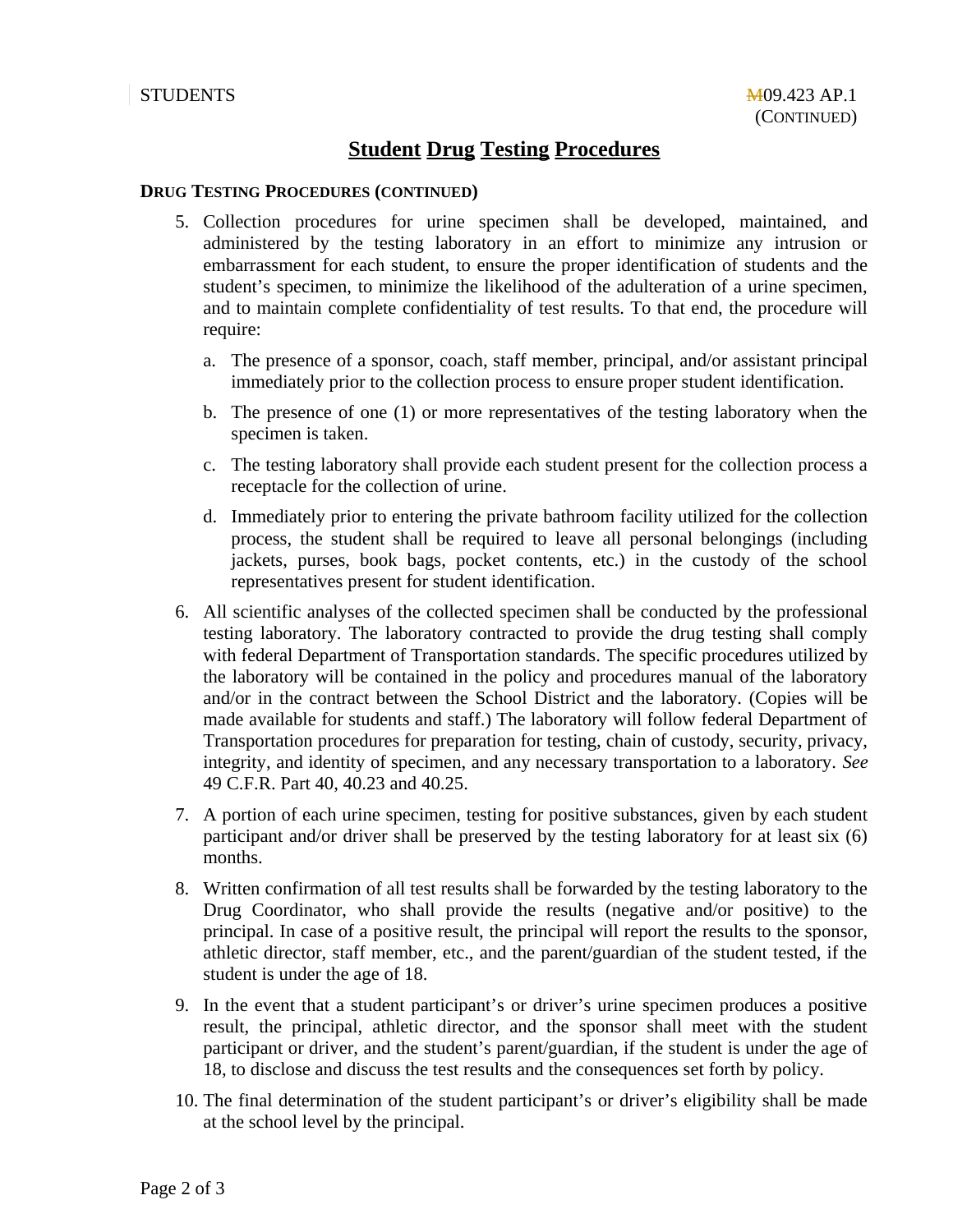## **Student Drug Testing Procedures**

#### **DRUG TESTING PROCEDURES (CONTINUED)**

- 5. Collection procedures for urine specimen shall be developed, maintained, and administered by the testing laboratory in an effort to minimize any intrusion or embarrassment for each student, to ensure the proper identification of students and the student's specimen, to minimize the likelihood of the adulteration of a urine specimen, and to maintain complete confidentiality of test results. To that end, the procedure will require:
	- a. The presence of a sponsor, coach, staff member, principal, and/or assistant principal immediately prior to the collection process to ensure proper student identification.
	- b. The presence of one (1) or more representatives of the testing laboratory when the specimen is taken.
	- c. The testing laboratory shall provide each student present for the collection process a receptacle for the collection of urine.
	- d. Immediately prior to entering the private bathroom facility utilized for the collection process, the student shall be required to leave all personal belongings (including jackets, purses, book bags, pocket contents, etc.) in the custody of the school representatives present for student identification.
- 6. All scientific analyses of the collected specimen shall be conducted by the professional testing laboratory. The laboratory contracted to provide the drug testing shall comply with federal Department of Transportation standards. The specific procedures utilized by the laboratory will be contained in the policy and procedures manual of the laboratory and/or in the contract between the School District and the laboratory. (Copies will be made available for students and staff.) The laboratory will follow federal Department of Transportation procedures for preparation for testing, chain of custody, security, privacy, integrity, and identity of specimen, and any necessary transportation to a laboratory. See 49 C.F.R. Part 40, 40.23 and 40.25.
- 7. A portion of each urine specimen, testing for positive substances, given by each student participant and/or driver shall be preserved by the testing laboratory for at least six (6) months.
- 8. Written confirmation of all test results shall be forwarded by the testing laboratory to the Drug Coordinator, who shall provide the results (negative and/or positive) to the principal. In case of a positive result, the principal will report the results to the sponsor, athletic director, staff member, etc., and the parent/guardian of the student tested, if the student is under the age of 18.
- 9. In the event that a student participant's or driver's urine specimen produces a positive result, the principal, athletic director, and the sponsor shall meet with the student participant or driver, and the student's parent/guardian, if the student is under the age of 18, to disclose and discuss the test results and the consequences set forth by policy.
- 10. The final determination of the student participant's or driver's eligibility shall be made at the school level by the principal.